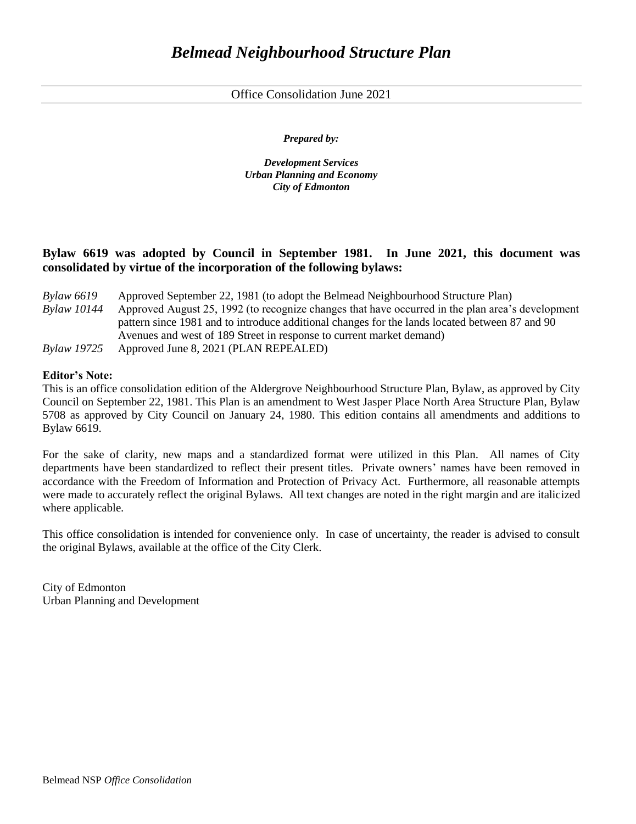Office Consolidation June 2021

*Prepared by:*

*Development Services Urban Planning and Economy City of Edmonton*

# **Bylaw 6619 was adopted by Council in September 1981. In June 2021, this document was consolidated by virtue of the incorporation of the following bylaws:**

| <b>Bylaw 6619</b> | Approved September 22, 1981 (to adopt the Belmead Neighbourhood Structure Plan)                  |
|-------------------|--------------------------------------------------------------------------------------------------|
| Bylaw 10144       | Approved August 25, 1992 (to recognize changes that have occurred in the plan area's development |
|                   | pattern since 1981 and to introduce additional changes for the lands located between 87 and 90   |
|                   | Avenues and west of 189 Street in response to current market demand)                             |
| Bylaw 19725       | Approved June 8, 2021 (PLAN REPEALED)                                                            |

### **Editor's Note:**

This is an office consolidation edition of the Aldergrove Neighbourhood Structure Plan, Bylaw, as approved by City Council on September 22, 1981. This Plan is an amendment to West Jasper Place North Area Structure Plan, Bylaw 5708 as approved by City Council on January 24, 1980. This edition contains all amendments and additions to Bylaw 6619.

For the sake of clarity, new maps and a standardized format were utilized in this Plan. All names of City departments have been standardized to reflect their present titles. Private owners' names have been removed in accordance with the Freedom of Information and Protection of Privacy Act. Furthermore, all reasonable attempts were made to accurately reflect the original Bylaws. All text changes are noted in the right margin and are italicized where applicable.

This office consolidation is intended for convenience only. In case of uncertainty, the reader is advised to consult the original Bylaws, available at the office of the City Clerk.

City of Edmonton Urban Planning and Development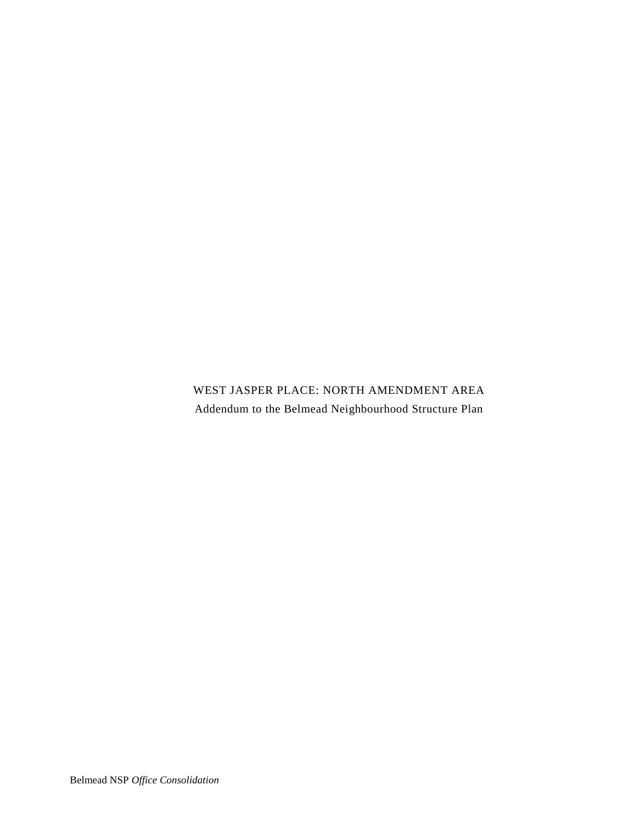WEST JASPER PLACE: NORTH AMENDMENT AREA Addendum to the Belmead Neighbourhood Structure Plan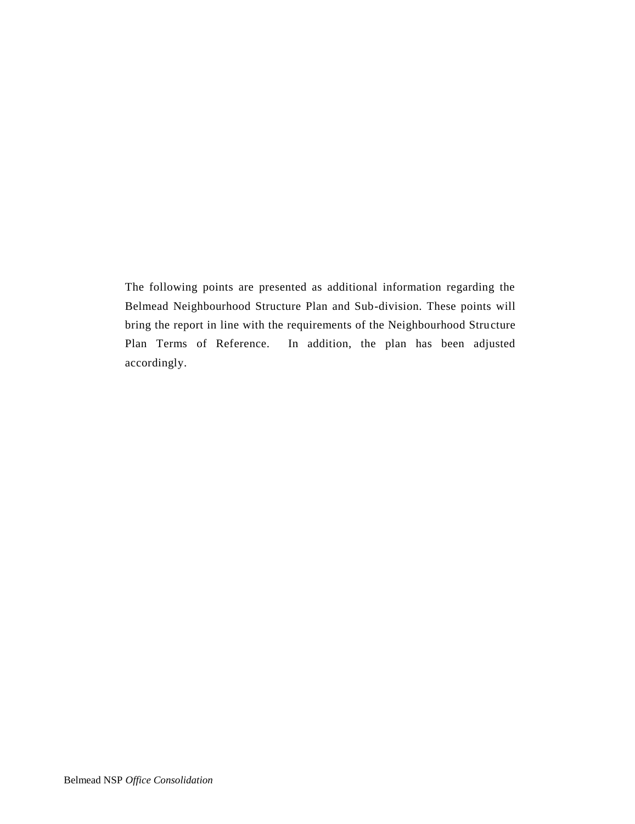The following points are presented as additional information regarding the Belmead Neighbourhood Structure Plan and Sub-division. These points will bring the report in line with the requirements of the Neighbourhood Structure Plan Terms of Reference. In addition, the plan has been adjusted accordingly.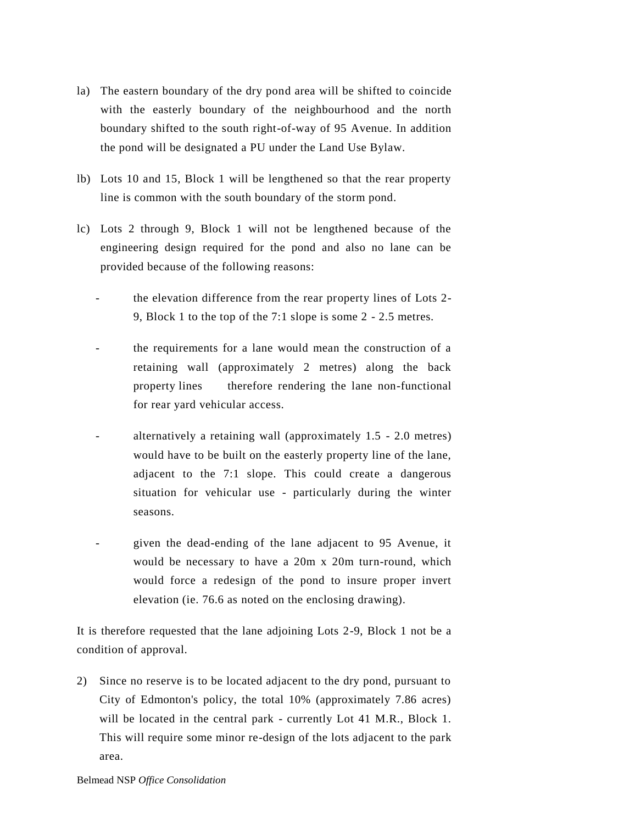- la) The eastern boundary of the dry pond area will be shifted to coincide with the easterly boundary of the neighbourhood and the north boundary shifted to the south right-of-way of 95 Avenue. In addition the pond will be designated a PU under the Land Use Bylaw.
- lb) Lots 10 and 15, Block 1 will be lengthened so that the rear property line is common with the south boundary of the storm pond.
- lc) Lots 2 through 9, Block 1 will not be lengthened because of the engineering design required for the pond and also no lane can be provided because of the following reasons:
	- the elevation difference from the rear property lines of Lots 2-9, Block 1 to the top of the 7:1 slope is some 2 - 2.5 metres.
	- the requirements for a lane would mean the construction of a retaining wall (approximately 2 metres) along the back property lines therefore rendering the lane non-functional for rear yard vehicular access.
	- alternatively a retaining wall (approximately 1.5 2.0 metres) would have to be built on the easterly property line of the lane, adjacent to the 7:1 slope. This could create a dangerous situation for vehicular use - particularly during the winter seasons.
	- given the dead-ending of the lane adjacent to 95 Avenue, it would be necessary to have a 20m x 20m turn-round, which would force a redesign of the pond to insure proper invert elevation (ie. 76.6 as noted on the enclosing drawing).

It is therefore requested that the lane adjoining Lots 2-9, Block 1 not be a condition of approval.

2) Since no reserve is to be located adjacent to the dry pond, pursuant to City of Edmonton's policy, the total 10% (approximately 7.86 acres) will be located in the central park - currently Lot 41 M.R., Block 1. This will require some minor re-design of the lots adjacent to the park area.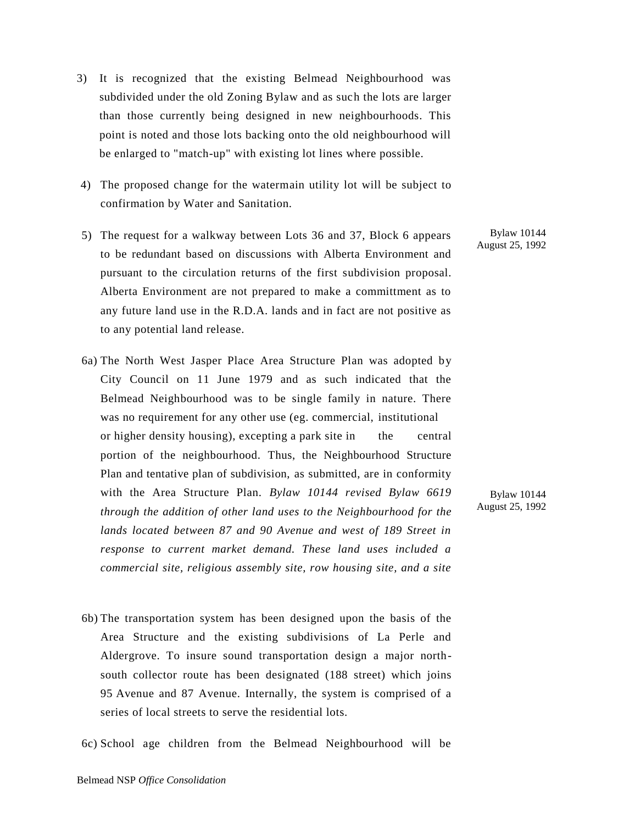- 3) It is recognized that the existing Belmead Neighbourhood was subdivided under the old Zoning Bylaw and as such the lots are larger than those currently being designed in new neighbourhoods. This point is noted and those lots backing onto the old neighbourhood will be enlarged to "match-up" with existing lot lines where possible.
- 4) The proposed change for the watermain utility lot will be subject to confirmation by Water and Sanitation.
- 5) The request for a walkway between Lots 36 and 37, Block 6 appears to be redundant based on discussions with Alberta Environment and pursuant to the circulation returns of the first subdivision proposal. Alberta Environment are not prepared to make a committment as to any future land use in the R.D.A. lands and in fact are not positive as to any potential land release.
- 6a) The North West Jasper Place Area Structure Plan was adopted by City Council on 11 June 1979 and as such indicated that the Belmead Neighbourhood was to be single family in nature. There was no requirement for any other use (eg. commercial, institutional or higher density housing), excepting a park site in the central portion of the neighbourhood. Thus, the Neighbourhood Structure Plan and tentative plan of subdivision, as submitted, are in conformity with the Area Structure Plan. *Bylaw 10144 revised Bylaw 6619 through the addition of other land uses to the Neighbourhood for the lands located between 87 and 90 Avenue and west of 189 Street in response to current market demand. These land uses included a commercial site, religious assembly site, row housing site, and a site*
- 6b) The transportation system has been designed upon the basis of the Area Structure and the existing subdivisions of La Perle and Aldergrove. To insure sound transportation design a major northsouth collector route has been designated (188 street) which joins 95 Avenue and 87 Avenue. Internally, the system is comprised of a series of local streets to serve the residential lots.

6c) School age children from the Belmead Neighbourhood will be

Bylaw 10144 August 25, 1992

Bylaw 10144 August 25, 1992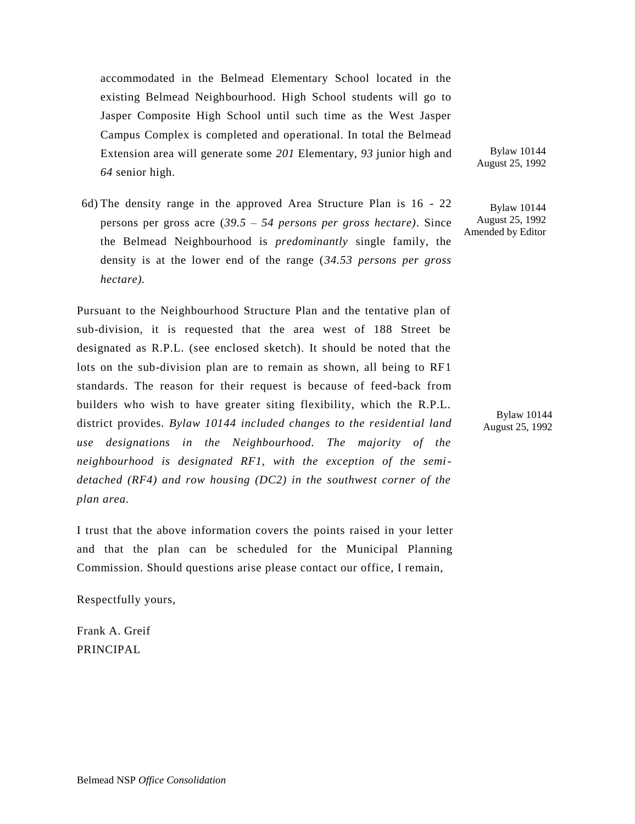accommodated in the Belmead Elementary School located in the existing Belmead Neighbourhood. High School students will go to Jasper Composite High School until such time as the West Jasper Campus Complex is completed and operational. In total the Belmead Extension area will generate some *201* Elementary, *93* junior high and *64* senior high.

6d) The density range in the approved Area Structure Plan is 16 - 22 persons per gross acre (*39.5 – 54 persons per gross hectare)*. Since the Belmead Neighbourhood is *predominantly* single family, the density is at the lower end of the range (*34.53 persons per gross hectare).*

Pursuant to the Neighbourhood Structure Plan and the tentative plan of sub-division, it is requested that the area west of 188 Street be designated as R.P.L. (see enclosed sketch). It should be noted that the lots on the sub-division plan are to remain as shown, all being to RF1 standards. The reason for their request is because of feed-back from builders who wish to have greater siting flexibility, which the R.P.L. district provides. *Bylaw 10144 included changes to the residential land use designations in the Neighbourhood. The majority of the neighbourhood is designated RF1, with the exception of the semidetached (RF4) and row housing (DC2) in the southwest corner of the plan area.*

I trust that the above information covers the points raised in your letter and that the plan can be scheduled for the Municipal Planning Commission. Should questions arise please contact our office, I remain,

Respectfully yours,

Frank A. Greif PRINCIPAL

Bylaw 10144 August 25, 1992

Bylaw 10144 August 25, 1992 Amended by Editor

> Bylaw 10144 August 25, 1992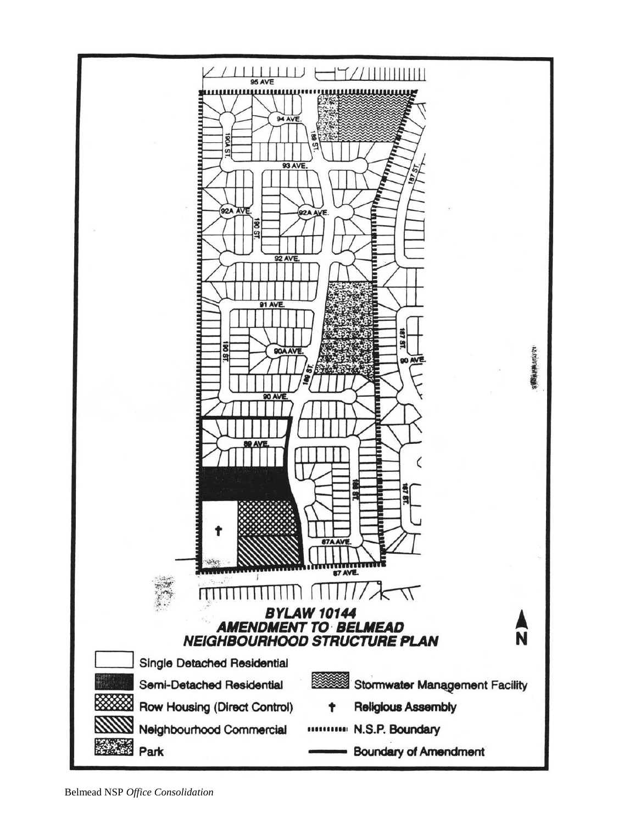

Belmead NSP *Office Consolidation*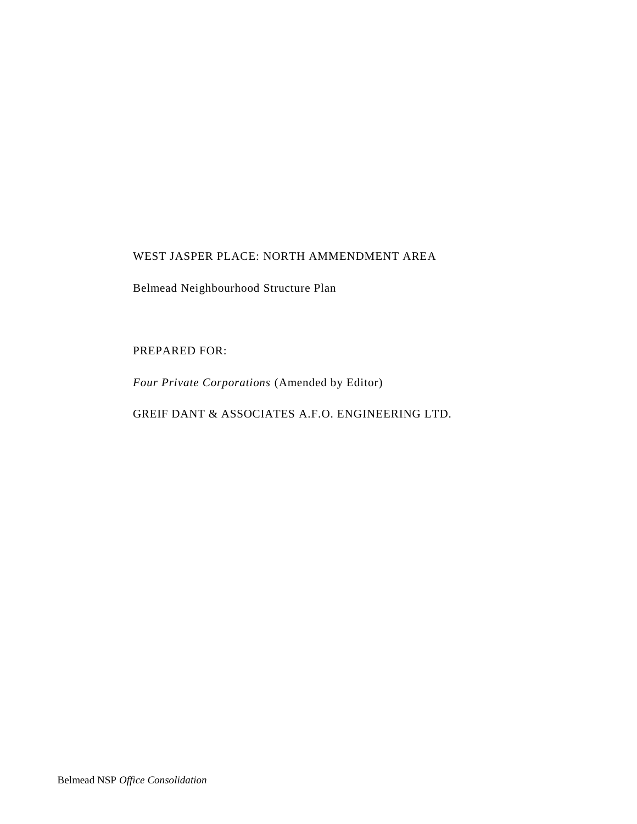# WEST JASPER PLACE: NORTH AMMENDMENT AREA

Belmead Neighbourhood Structure Plan

# PREPARED FOR:

*Four Private Corporations* (Amended by Editor)

GREIF DANT & ASSOCIATES A.F.O. ENGINEERING LTD.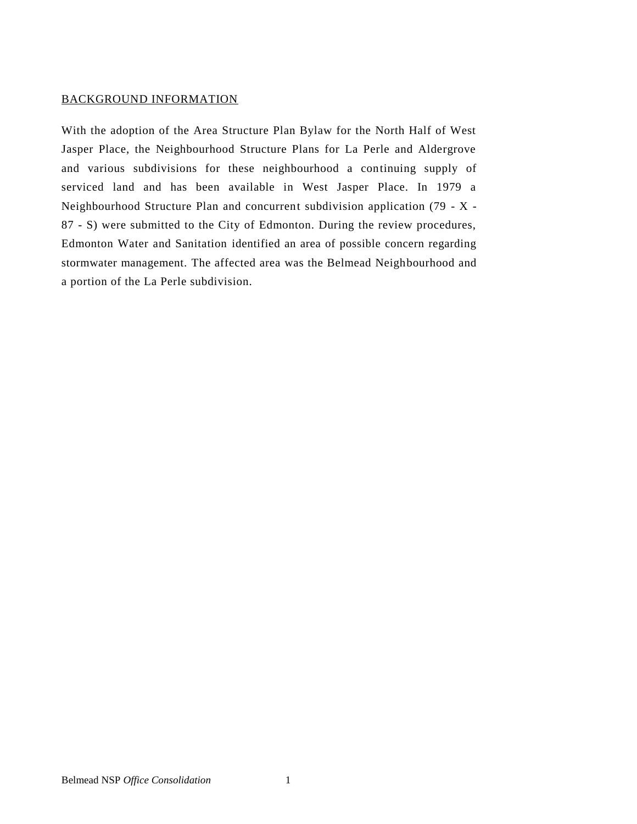### BACKGROUND INFORMATION

With the adoption of the Area Structure Plan Bylaw for the North Half of West Jasper Place, the Neighbourhood Structure Plans for La Perle and Aldergrove and various subdivisions for these neighbourhood a continuing supply of serviced land and has been available in West Jasper Place. In 1979 a Neighbourhood Structure Plan and concurrent subdivision application (79 - X - 87 - S) were submitted to the City of Edmonton. During the review procedures, Edmonton Water and Sanitation identified an area of possible concern regarding stormwater management. The affected area was the Belmead Neighbourhood and a portion of the La Perle subdivision.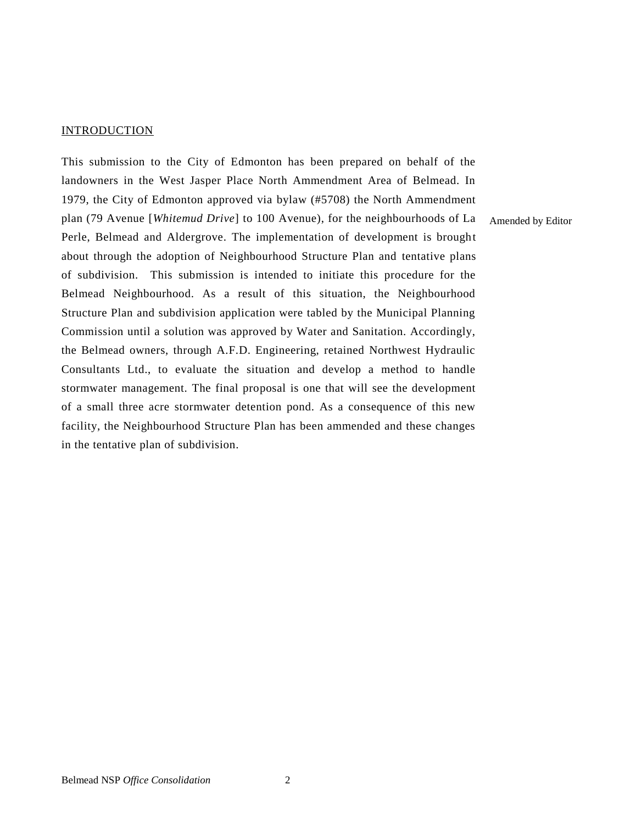#### **INTRODUCTION**

This submission to the City of Edmonton has been prepared on behalf of the landowners in the West Jasper Place North Ammendment Area of Belmead. In 1979, the City of Edmonton approved via bylaw (#5708) the North Ammendment plan (79 Avenue [*Whitemud Drive*] to 100 Avenue), for the neighbourhoods of La Perle, Belmead and Aldergrove. The implementation of development is brought about through the adoption of Neighbourhood Structure Plan and tentative plans of subdivision. This submission is intended to initiate this procedure for the Belmead Neighbourhood. As a result of this situation, the Neighbourhood Structure Plan and subdivision application were tabled by the Municipal Planning Commission until a solution was approved by Water and Sanitation. Accordingly, the Belmead owners, through A.F.D. Engineering, retained Northwest Hydraulic Consultants Ltd., to evaluate the situation and develop a method to handle stormwater management. The final proposal is one that will see the development of a small three acre stormwater detention pond. As a consequence of this new facility, the Neighbourhood Structure Plan has been ammended and these changes in the tentative plan of subdivision.

Amended by Editor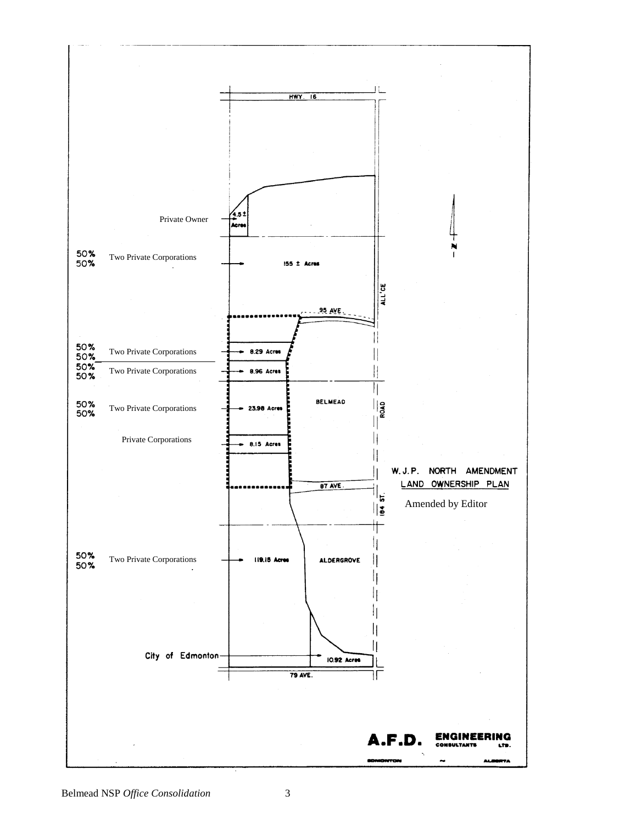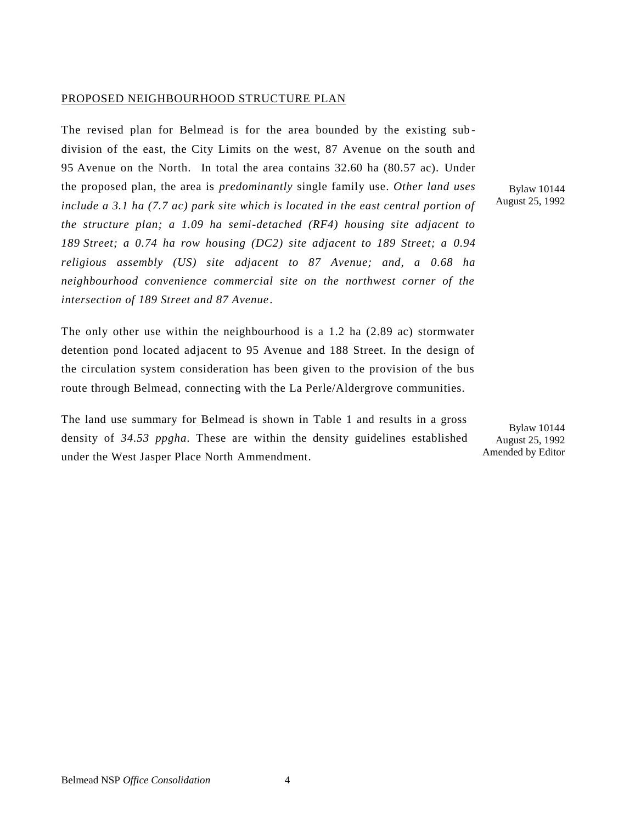### PROPOSED NEIGHBOURHOOD STRUCTURE PLAN

The revised plan for Belmead is for the area bounded by the existing sub division of the east, the City Limits on the west, 87 Avenue on the south and 95 Avenue on the North. In total the area contains 32.60 ha (80.57 ac). Under the proposed plan, the area is *predominantly* single family use. *Other land uses include a 3.1 ha (7.7 ac) park site which is located in the east central portion of the structure plan; a 1.09 ha semi-detached (RF4) housing site adjacent to 189 Street; a 0.74 ha row housing (DC2) site adjacent to 189 Street; a 0.94 religious assembly (US) site adjacent to 87 Avenue; and, a 0.68 ha neighbourhood convenience commercial site on the northwest corner of the intersection of 189 Street and 87 Avenue*.

The only other use within the neighbourhood is a 1.2 ha (2.89 ac) stormwater detention pond located adjacent to 95 Avenue and 188 Street. In the design of the circulation system consideration has been given to the provision of the bus route through Belmead, connecting with the La Perle/Aldergrove communities.

The land use summary for Belmead is shown in Table 1 and results in a gross density of *34.53 ppgha*. These are within the density guidelines established under the West Jasper Place North Ammendment.

Bylaw 10144 August 25, 1992

Bylaw 10144 August 25, 1992 Amended by Editor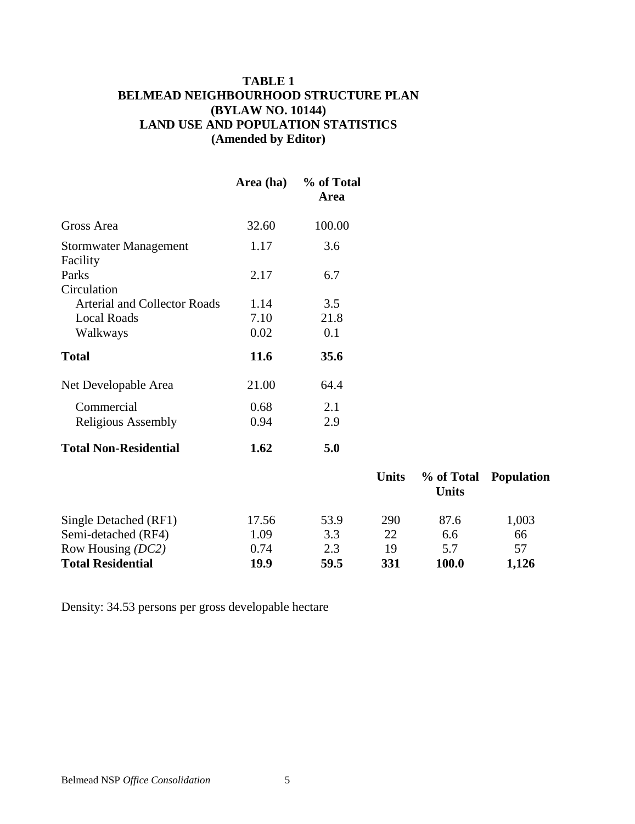# **TABLE 1 BELMEAD NEIGHBOURHOOD STRUCTURE PLAN (BYLAW NO. 10144) LAND USE AND POPULATION STATISTICS (Amended by Editor)**

|                                     | Area (ha) | % of Total<br><b>Area</b> |              |                            |            |
|-------------------------------------|-----------|---------------------------|--------------|----------------------------|------------|
| Gross Area                          | 32.60     | 100.00                    |              |                            |            |
| Stormwater Management<br>Facility   | 1.17      | 3.6                       |              |                            |            |
| Parks<br>Circulation                | 2.17      | 6.7                       |              |                            |            |
| <b>Arterial and Collector Roads</b> | 1.14      | 3.5                       |              |                            |            |
| <b>Local Roads</b>                  | 7.10      | 21.8                      |              |                            |            |
| Walkways                            | 0.02      | 0.1                       |              |                            |            |
| <b>Total</b>                        | 11.6      | 35.6                      |              |                            |            |
| Net Developable Area                | 21.00     | 64.4                      |              |                            |            |
| Commercial                          | 0.68      | 2.1                       |              |                            |            |
| <b>Religious Assembly</b>           | 0.94      | 2.9                       |              |                            |            |
| <b>Total Non-Residential</b>        | 1.62      | 5.0                       |              |                            |            |
|                                     |           |                           | <b>Units</b> | % of Total<br><b>Units</b> | Population |

| <b>Total Residential</b> | 19.9  | 59.5 | 331        | 100.0 | 1,126 |
|--------------------------|-------|------|------------|-------|-------|
| Row Housing (DC2)        | 0.74  | 2.3  | 19         | 5.7   | 57    |
| Semi-detached (RF4)      | 1.09  | 3.3  | 22         | 6.6   | 66    |
| Single Detached (RF1)    | 17.56 | 53.9 | <b>290</b> | 87.6  | 1,003 |
|                          |       |      |            |       |       |

Density: 34.53 persons per gross developable hectare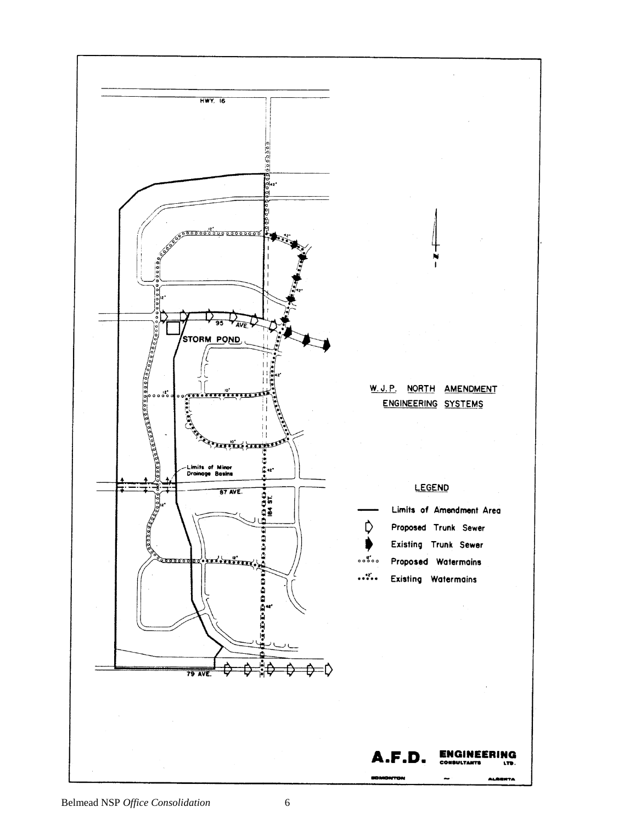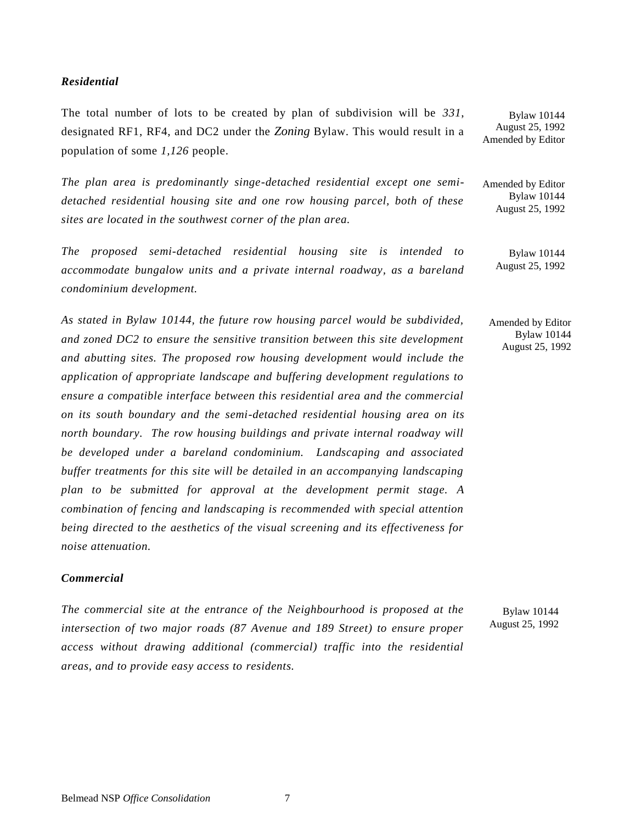#### *Residential*

The total number of lots to be created by plan of subdivision will be *331*, designated RF1, RF4, and DC2 under the *Zoning* Bylaw. This would result in a population of some *1,126* people.

*The plan area is predominantly singe-detached residential except one semidetached residential housing site and one row housing parcel, both of these sites are located in the southwest corner of the plan area.*

*The proposed semi-detached residential housing site is intended to accommodate bungalow units and a private internal roadway, as a bareland condominium development.*

*As stated in Bylaw 10144, the future row housing parcel would be subdivided, and zoned DC2 to ensure the sensitive transition between this site development and abutting sites. The proposed row housing development would include the application of appropriate landscape and buffering development regulations to ensure a compatible interface between this residential area and the commercial on its south boundary and the semi-detached residential housing area on its north boundary. The row housing buildings and private internal roadway will be developed under a bareland condominium. Landscaping and associated buffer treatments for this site will be detailed in an accompanying landscaping plan to be submitted for approval at the development permit stage. A combination of fencing and landscaping is recommended with special attention being directed to the aesthetics of the visual screening and its effectiveness for noise attenuation.*

### *Commercial*

*The commercial site at the entrance of the Neighbourhood is proposed at the intersection of two major roads (87 Avenue and 189 Street) to ensure proper access without drawing additional (commercial) traffic into the residential areas, and to provide easy access to residents.*

Bylaw 10144 August 25, 1992

Bylaw 10144 August 25, 1992 Amended by Editor

Amended by Editor Bylaw 10144 August 25, 1992

> Bylaw 10144 August 25, 1992

Amended by Editor Bylaw 10144 August 25, 1992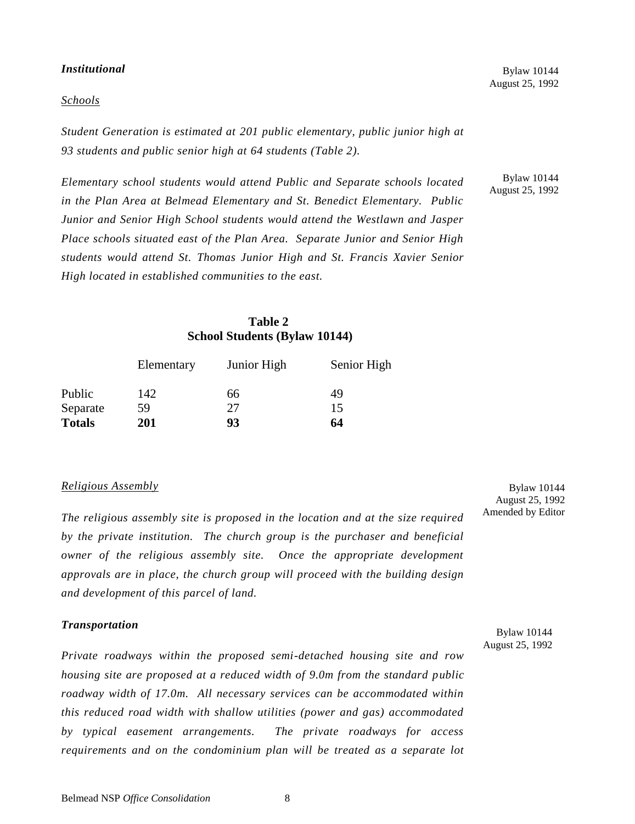#### *Institutional*

#### *Schools*

Bylaw 10144 August 25, 1992

*Student Generation is estimated at 201 public elementary, public junior high at 93 students and public senior high at 64 students (Table 2).*

*Elementary school students would attend Public and Separate schools located in the Plan Area at Belmead Elementary and St. Benedict Elementary. Public Junior and Senior High School students would attend the Westlawn and Jasper Place schools situated east of the Plan Area. Separate Junior and Senior High students would attend St. Thomas Junior High and St. Francis Xavier Senior High located in established communities to the east.*

Bylaw 10144 August 25, 1992

## **Table 2 School Students (Bylaw 10144)**

|               | Elementary | Junior High | Senior High |
|---------------|------------|-------------|-------------|
| Public        | 142        | 66          | 49          |
| Separate      | 59         | 27          | 15          |
| <b>Totals</b> | <b>201</b> | 93          | 64          |

#### *Religious Assembly*

*The religious assembly site is proposed in the location and at the size required by the private institution. The church group is the purchaser and beneficial owner of the religious assembly site. Once the appropriate development approvals are in place, the church group will proceed with the building design and development of this parcel of land.*

#### *Transportation*

*Private roadways within the proposed semi-detached housing site and row housing site are proposed at a reduced width of 9.0m from the standard public roadway width of 17.0m. All necessary services can be accommodated within this reduced road width with shallow utilities (power and gas) accommodated by typical easement arrangements. The private roadways for access requirements and on the condominium plan will be treated as a separate lot* 

Bylaw 10144 August 25, 1992 Amended by Editor

Bylaw 10144 August 25, 1992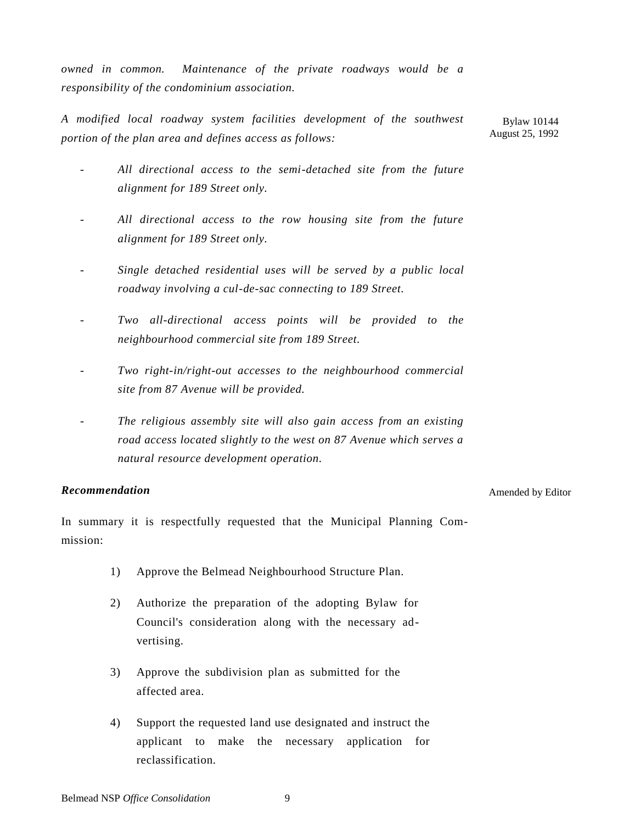*owned in common. Maintenance of the private roadways would be a responsibility of the condominium association.*

*A modified local roadway system facilities development of the southwest portion of the plan area and defines access as follows:* Bylaw 10144 August 25, 1992

- *All directional access to the semi-detached site from the future alignment for 189 Street only.*
- *All directional access to the row housing site from the future alignment for 189 Street only.*
- *Single detached residential uses will be served by a public local roadway involving a cul-de-sac connecting to 189 Street.*
- *Two all-directional access points will be provided to the neighbourhood commercial site from 189 Street.*
- *Two right-in/right-out accesses to the neighbourhood commercial site from 87 Avenue will be provided.*
- *The religious assembly site will also gain access from an existing road access located slightly to the west on 87 Avenue which serves a natural resource development operation.*

### *Recommendation*

#### Amended by Editor

In summary it is respectfully requested that the Municipal Planning Commission:

- 1) Approve the Belmead Neighbourhood Structure Plan.
- 2) Authorize the preparation of the adopting Bylaw for Council's consideration along with the necessary advertising.
- 3) Approve the subdivision plan as submitted for the affected area.
- 4) Support the requested land use designated and instruct the applicant to make the necessary application for reclassification.